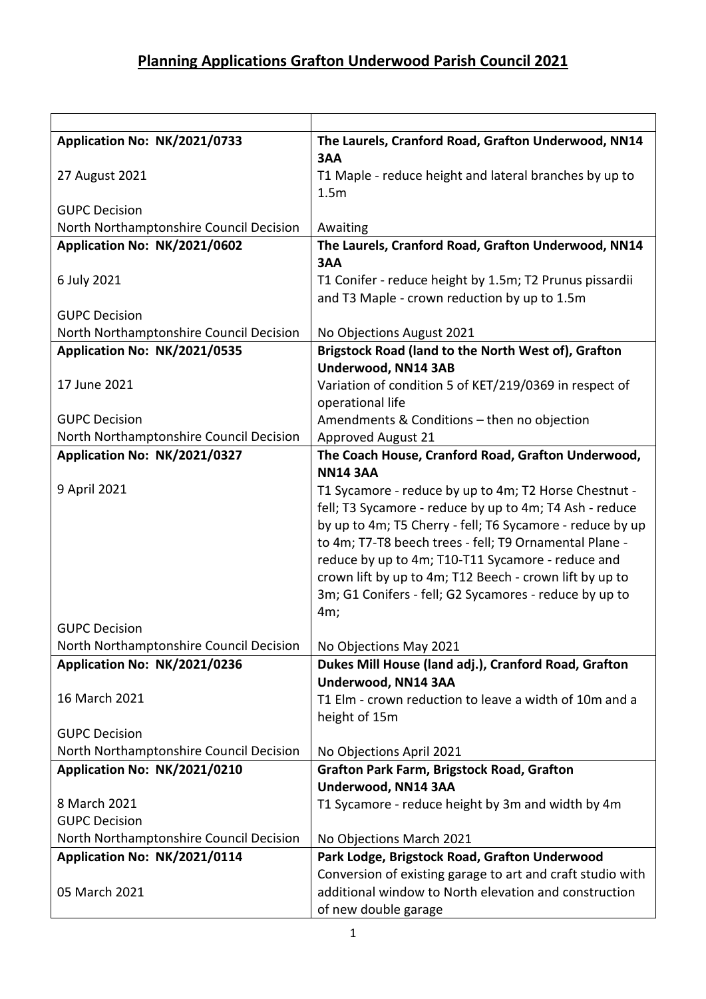| Application No: NK/2021/0733            | The Laurels, Cranford Road, Grafton Underwood, NN14                                                          |
|-----------------------------------------|--------------------------------------------------------------------------------------------------------------|
|                                         | 3AA                                                                                                          |
| 27 August 2021                          | T1 Maple - reduce height and lateral branches by up to                                                       |
|                                         | 1.5m                                                                                                         |
| <b>GUPC Decision</b>                    |                                                                                                              |
| North Northamptonshire Council Decision | Awaiting                                                                                                     |
| Application No: NK/2021/0602            | The Laurels, Cranford Road, Grafton Underwood, NN14                                                          |
|                                         | 3AA                                                                                                          |
| 6 July 2021                             | T1 Conifer - reduce height by 1.5m; T2 Prunus pissardii                                                      |
|                                         | and T3 Maple - crown reduction by up to 1.5m                                                                 |
| <b>GUPC Decision</b>                    |                                                                                                              |
| North Northamptonshire Council Decision | No Objections August 2021                                                                                    |
| Application No: NK/2021/0535            | Brigstock Road (land to the North West of), Grafton<br>Underwood, NN14 3AB                                   |
| 17 June 2021                            |                                                                                                              |
|                                         | Variation of condition 5 of KET/219/0369 in respect of                                                       |
|                                         | operational life                                                                                             |
| <b>GUPC Decision</b>                    | Amendments & Conditions - then no objection                                                                  |
| North Northamptonshire Council Decision | <b>Approved August 21</b>                                                                                    |
| Application No: NK/2021/0327            | The Coach House, Cranford Road, Grafton Underwood,<br><b>NN14 3AA</b>                                        |
| 9 April 2021                            |                                                                                                              |
|                                         | T1 Sycamore - reduce by up to 4m; T2 Horse Chestnut -                                                        |
|                                         | fell; T3 Sycamore - reduce by up to 4m; T4 Ash - reduce                                                      |
|                                         | by up to 4m; T5 Cherry - fell; T6 Sycamore - reduce by up                                                    |
|                                         | to 4m; T7-T8 beech trees - fell; T9 Ornamental Plane -                                                       |
|                                         | reduce by up to 4m; T10-T11 Sycamore - reduce and<br>crown lift by up to 4m; T12 Beech - crown lift by up to |
|                                         |                                                                                                              |
|                                         | 3m; G1 Conifers - fell; G2 Sycamores - reduce by up to<br>4m;                                                |
| <b>GUPC Decision</b>                    |                                                                                                              |
| North Northamptonshire Council Decision | No Objections May 2021                                                                                       |
| Application No: NK/2021/0236            | Dukes Mill House (land adj.), Cranford Road, Grafton                                                         |
|                                         | Underwood, NN14 3AA                                                                                          |
| 16 March 2021                           | T1 Elm - crown reduction to leave a width of 10m and a                                                       |
|                                         | height of 15m                                                                                                |
| <b>GUPC Decision</b>                    |                                                                                                              |
| North Northamptonshire Council Decision | No Objections April 2021                                                                                     |
| Application No: NK/2021/0210            | <b>Grafton Park Farm, Brigstock Road, Grafton</b>                                                            |
|                                         | Underwood, NN14 3AA                                                                                          |
| 8 March 2021                            | T1 Sycamore - reduce height by 3m and width by 4m                                                            |
| <b>GUPC Decision</b>                    |                                                                                                              |
| North Northamptonshire Council Decision | No Objections March 2021                                                                                     |
| Application No: NK/2021/0114            | Park Lodge, Brigstock Road, Grafton Underwood                                                                |
|                                         | Conversion of existing garage to art and craft studio with                                                   |
| 05 March 2021                           | additional window to North elevation and construction                                                        |
|                                         | of new double garage                                                                                         |